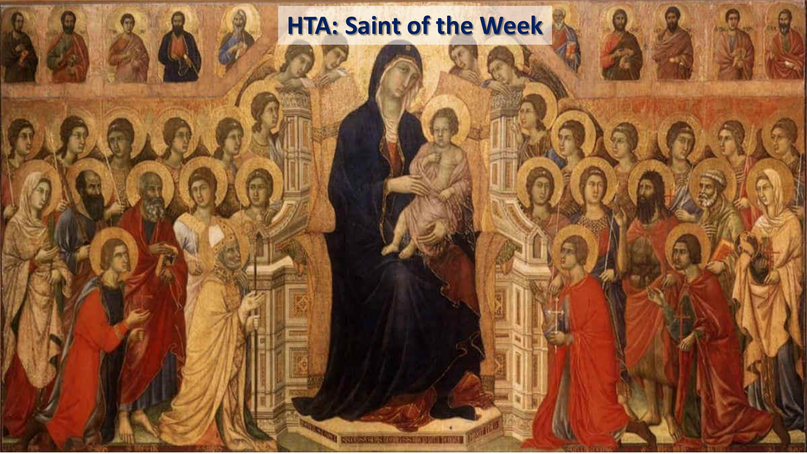## **HTA: Saint of the Week**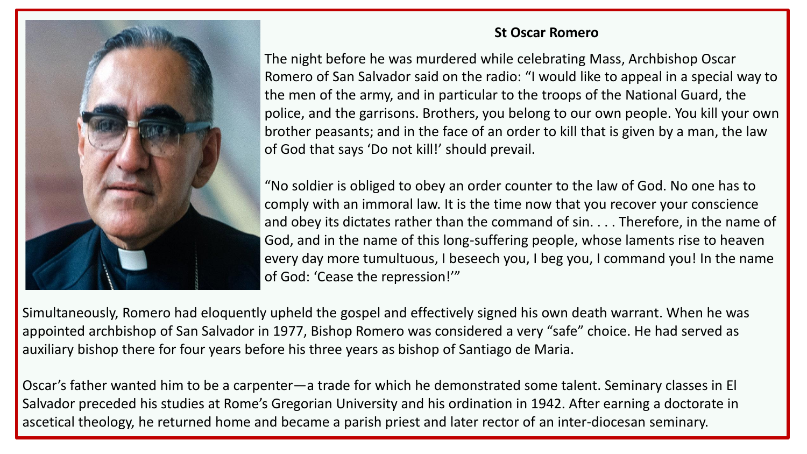

## **St Oscar Romero**

The night before he was murdered while celebrating Mass, Archbishop Oscar Romero of San Salvador said on the radio: "I would like to appeal in a special way to the men of the army, and in particular to the troops of the National Guard, the police, and the garrisons. Brothers, you belong to our own people. You kill your own brother peasants; and in the face of an order to kill that is given by a man, the law of God that says 'Do not kill!' should prevail.

"No soldier is obliged to obey an order counter to the law of God. No one has to comply with an immoral law. It is the time now that you recover your conscience and obey its dictates rather than the command of sin. . . . Therefore, in the name of God, and in the name of this long-suffering people, whose laments rise to heaven every day more tumultuous, I beseech you, I beg you, I command you! In the name of God: 'Cease the repression!'"

Simultaneously, Romero had eloquently upheld the gospel and effectively signed his own death warrant. When he was appointed archbishop of San Salvador in 1977, Bishop Romero was considered a very "safe" choice. He had served as auxiliary bishop there for four years before his three years as bishop of Santiago de Maria.

Oscar's father wanted him to be a carpenter—a trade for which he demonstrated some talent. Seminary classes in El Salvador preceded his studies at Rome's Gregorian University and his ordination in 1942. After earning a doctorate in ascetical theology, he returned home and became a parish priest and later rector of an inter-diocesan seminary.